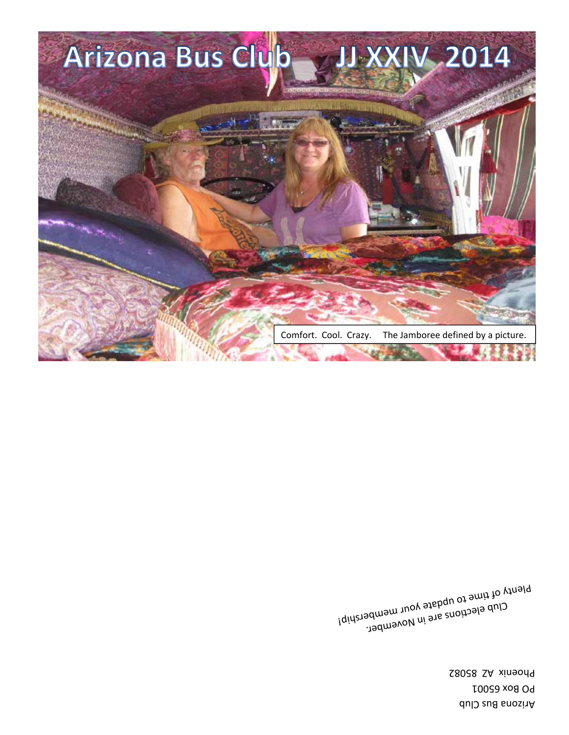Arizona Bus Club PO Box 65001 Phoenix AZ 85082

Club elections are in November. Ple*nty of time to nbqate yonr mempership!*<br>Cl*ub elections are in november*.  $P_{\text{PQU1B}}$  wonth welling

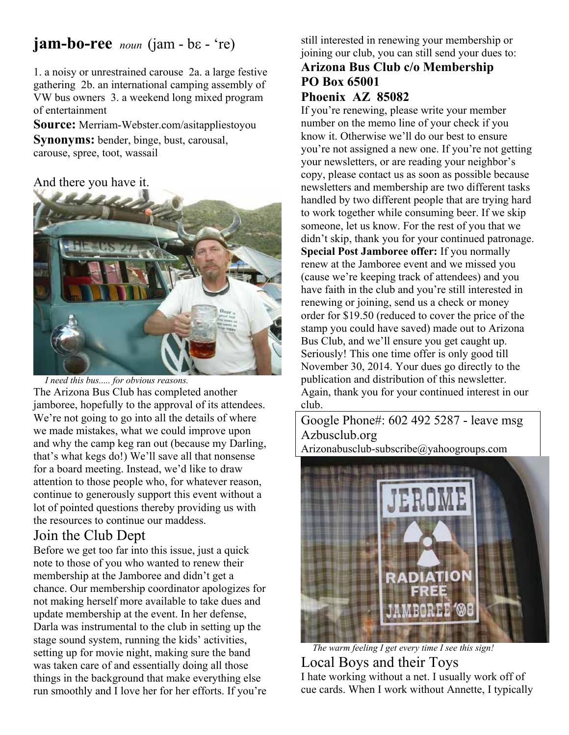# $jam-bo-ree$  *noun* (jam - b $\varepsilon$  - 're)

1. a noisy or unrestrained carouse 2a. a large festive gathering 2b. an international camping assembly of VW bus owners 3. a weekend long mixed program of entertainment

**Source:** Merriam-Webster.com/asitappliestoyou **Synonyms:** bender, binge, bust, carousal, carouse, spree, toot, wassail

#### And there you have it.



 *I need this bus..... for obvious reasons.*  The Arizona Bus Club has completed another jamboree, hopefully to the approval of its attendees. We're not going to go into all the details of where we made mistakes, what we could improve upon and why the camp keg ran out (because my Darling, that's what kegs do!) We'll save all that nonsense for a board meeting. Instead, we'd like to draw attention to those people who, for whatever reason, continue to generously support this event without a lot of pointed questions thereby providing us with the resources to continue our maddess.

#### Join the Club Dept

Before we get too far into this issue, just a quick note to those of you who wanted to renew their membership at the Jamboree and didn't get a chance. Our membership coordinator apologizes for not making herself more available to take dues and update membership at the event. In her defense, Darla was instrumental to the club in setting up the stage sound system, running the kids' activities, setting up for movie night, making sure the band was taken care of and essentially doing all those things in the background that make everything else run smoothly and I love her for her efforts. If you're

still interested in renewing your membership or joining our club, you can still send your dues to: **Arizona Bus Club c/o Membership PO Box 65001 Phoenix AZ 85082** 

If you're renewing, please write your member number on the memo line of your check if you know it. Otherwise we'll do our best to ensure you're not assigned a new one. If you're not getting your newsletters, or are reading your neighbor's copy, please contact us as soon as possible because newsletters and membership are two different tasks handled by two different people that are trying hard to work together while consuming beer. If we skip someone, let us know. For the rest of you that we didn't skip, thank you for your continued patronage. **Special Post Jamboree offer:** If you normally renew at the Jamboree event and we missed you (cause we're keeping track of attendees) and you have faith in the club and you're still interested in renewing or joining, send us a check or money order for \$19.50 (reduced to cover the price of the stamp you could have saved) made out to Arizona Bus Club, and we'll ensure you get caught up. Seriously! This one time offer is only good till November 30, 2014. Your dues go directly to the publication and distribution of this newsletter. Again, thank you for your continued interest in our club.

Google Phone#: 602 492 5287 - leave msg Azbusclub.org

Arizonabusclub-subscribe@yahoogroups.com



 *The warm feeling I get every time I see this sign!*  Local Boys and their Toys I hate working without a net. I usually work off of cue cards. When I work without Annette, I typically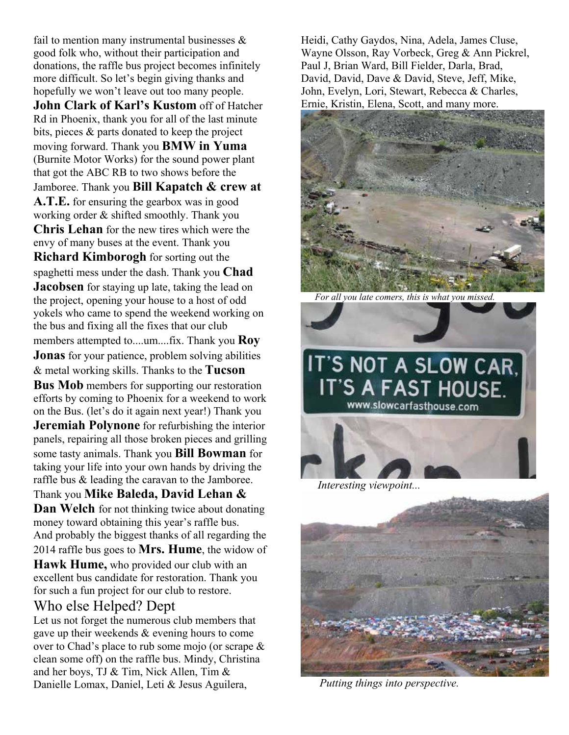fail to mention many instrumental businesses  $\&$ good folk who, without their participation and donations, the raffle bus project becomes infinitely more difficult. So let's begin giving thanks and hopefully we won't leave out too many people. **John Clark of Karl's Kustom** off of Hatcher Rd in Phoenix, thank you for all of the last minute bits, pieces & parts donated to keep the project moving forward. Thank you **BMW in Yuma** (Burnite Motor Works) for the sound power plant that got the ABC RB to two shows before the Jamboree. Thank you **Bill Kapatch & crew at A.T.E.** for ensuring the gearbox was in good working order & shifted smoothly. Thank you **Chris Lehan** for the new tires which were the envy of many buses at the event. Thank you **Richard Kimborogh** for sorting out the spaghetti mess under the dash. Thank you **Chad Jacobsen** for staying up late, taking the lead on the project, opening your house to a host of odd yokels who came to spend the weekend working on the bus and fixing all the fixes that our club members attempted to....um....fix. Thank you **Roy Jonas** for your patience, problem solving abilities & metal working skills. Thanks to the **Tucson Bus Mob** members for supporting our restoration efforts by coming to Phoenix for a weekend to work on the Bus. (let's do it again next year!) Thank you **Jeremiah Polynone** for refurbishing the interior panels, repairing all those broken pieces and grilling some tasty animals. Thank you **Bill Bowman** for taking your life into your own hands by driving the raffle bus & leading the caravan to the Jamboree. Thank you **Mike Baleda, David Lehan & Dan Welch** for not thinking twice about donating money toward obtaining this year's raffle bus. And probably the biggest thanks of all regarding the 2014 raffle bus goes to **Mrs. Hume**, the widow of **Hawk Hume,** who provided our club with an excellent bus candidate for restoration. Thank you for such a fun project for our club to restore.

#### Who else Helped? Dept

Let us not forget the numerous club members that gave up their weekends & evening hours to come over to Chad's place to rub some mojo (or scrape & clean some off) on the raffle bus. Mindy, Christina and her boys, TJ & Tim, Nick Allen, Tim & Danielle Lomax, Daniel, Leti & Jesus Aguilera,

Heidi, Cathy Gaydos, Nina, Adela, James Cluse, Wayne Olsson, Ray Vorbeck, Greg & Ann Pickrel, Paul J, Brian Ward, Bill Fielder, Darla, Brad, David, David, Dave & David, Steve, Jeff, Mike, John, Evelyn, Lori, Stewart, Rebecca & Charles, Ernie, Kristin, Elena, Scott, and many more.



 *For all you late comers, this is what you missed.* 

# IT'S NOT A SLOW CAR. IT'S A FAST HOUSE. www.slowcarfasthouse.com

*Interesting viewpoint...* 



*Putting things into perspective.*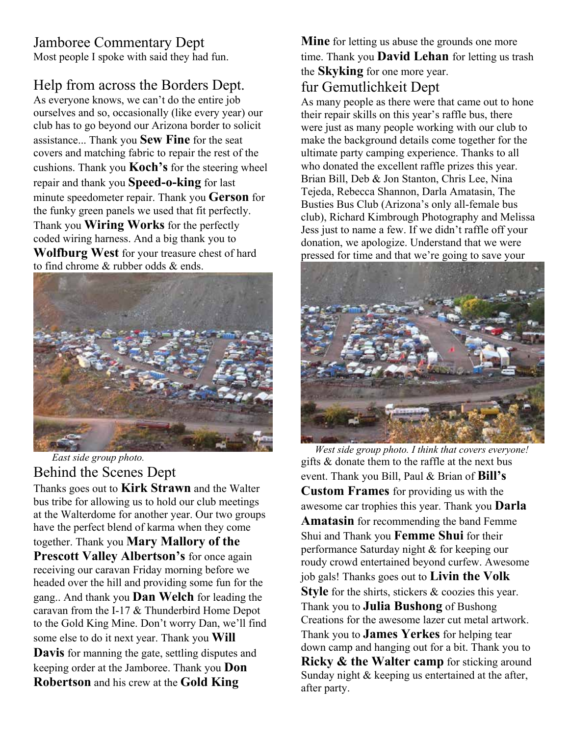# Jamboree Commentary Dept

Most people I spoke with said they had fun.

# Help from across the Borders Dept.

As everyone knows, we can't do the entire job ourselves and so, occasionally (like every year) our club has to go beyond our Arizona border to solicit assistance... Thank you **Sew Fine** for the seat covers and matching fabric to repair the rest of the cushions. Thank you **Koch's** for the steering wheel repair and thank you **Speed-o-king** for last minute speedometer repair. Thank you **Gerson** for the funky green panels we used that fit perfectly. Thank you **Wiring Works** for the perfectly coded wiring harness. And a big thank you to **Wolfburg West** for your treasure chest of hard to find chrome & rubber odds & ends.



#### *East side group photo.*  Behind the Scenes Dept

Thanks goes out to **Kirk Strawn** and the Walter bus tribe for allowing us to hold our club meetings at the Walterdome for another year. Our two groups have the perfect blend of karma when they come together. Thank you **Mary Mallory of the Prescott Valley Albertson's** for once again receiving our caravan Friday morning before we headed over the hill and providing some fun for the gang.. And thank you **Dan Welch** for leading the caravan from the I-17 & Thunderbird Home Depot to the Gold King Mine. Don't worry Dan, we'll find some else to do it next year. Thank you **Will Davis** for manning the gate, settling disputes and keeping order at the Jamboree. Thank you **Don Robertson** and his crew at the **Gold King** 

**Mine** for letting us abuse the grounds one more time. Thank you **David Lehan** for letting us trash the **Skyking** for one more year.

# fur Gemutlichkeit Dept

As many people as there were that came out to hone their repair skills on this year's raffle bus, there were just as many people working with our club to make the background details come together for the ultimate party camping experience. Thanks to all who donated the excellent raffle prizes this year. Brian Bill, Deb & Jon Stanton, Chris Lee, Nina Tejeda, Rebecca Shannon, Darla Amatasin, The Busties Bus Club (Arizona's only all-female bus club), Richard Kimbrough Photography and Melissa Jess just to name a few. If we didn't raffle off your donation, we apologize. Understand that we were pressed for time and that we're going to save your



 *West side group photo. I think that covers everyone!*  gifts & donate them to the raffle at the next bus event. Thank you Bill, Paul & Brian of **Bill's Custom Frames** for providing us with the awesome car trophies this year. Thank you **Darla Amatasin** for recommending the band Femme Shui and Thank you **Femme Shui** for their performance Saturday night & for keeping our roudy crowd entertained beyond curfew. Awesome job gals! Thanks goes out to **Livin the Volk Style** for the shirts, stickers & coozies this year. Thank you to **Julia Bushong** of Bushong Creations for the awesome lazer cut metal artwork. Thank you to **James Yerkes** for helping tear down camp and hanging out for a bit. Thank you to **Ricky & the Walter camp** for sticking around Sunday night & keeping us entertained at the after, after party.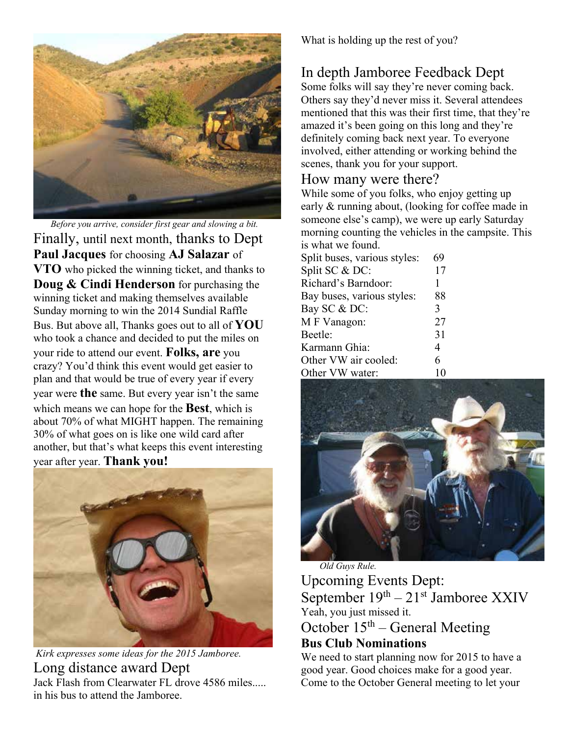

 *Before you arrive, consider first gear and slowing a bit.*  Finally, until next month, thanks to Dept **Paul Jacques** for choosing **AJ Salazar** of **VTO** who picked the winning ticket, and thanks to **Doug & Cindi Henderson** for purchasing the winning ticket and making themselves available Sunday morning to win the 2014 Sundial Raffle Bus. But above all, Thanks goes out to all of **YOU** who took a chance and decided to put the miles on your ride to attend our event. **Folks, are** you crazy? You'd think this event would get easier to plan and that would be true of every year if every year were **the** same. But every year isn't the same which means we can hope for the **Best**, which is about 70% of what MIGHT happen. The remaining 30% of what goes on is like one wild card after another, but that's what keeps this event interesting year after year. **Thank you!**



 *Kirk expresses some ideas for the 2015 Jamboree.* Long distance award Dept Jack Flash from Clearwater FL drove 4586 miles..... in his bus to attend the Jamboree.

What is holding up the rest of you?

# In depth Jamboree Feedback Dept

Some folks will say they're never coming back. Others say they'd never miss it. Several attendees mentioned that this was their first time, that they're amazed it's been going on this long and they're definitely coming back next year. To everyone involved, either attending or working behind the scenes, thank you for your support.

#### How many were there?

While some of you folks, who enjoy getting up early & running about, (looking for coffee made in someone else's camp), we were up early Saturday morning counting the vehicles in the campsite. This is what we found.

| Split buses, various styles: | 69 |
|------------------------------|----|
| Split SC & DC:               | 17 |
| Richard's Barndoor:          | 1  |
| Bay buses, various styles:   | 88 |
| Bay SC & DC:                 | 3  |
| M F Vanagon:                 | 27 |
| Beetle:                      | 31 |
| Karmann Ghia:                | 4  |
| Other VW air cooled:         | 6  |
| Other VW water:              | 10 |



 *Old Guys Rule.*  Upcoming Events Dept: September  $19<sup>th</sup> - 21<sup>st</sup>$  Jamboree XXIV Yeah, you just missed it. October 15th – General Meeting **Bus Club Nominations** 

We need to start planning now for 2015 to have a good year. Good choices make for a good year. Come to the October General meeting to let your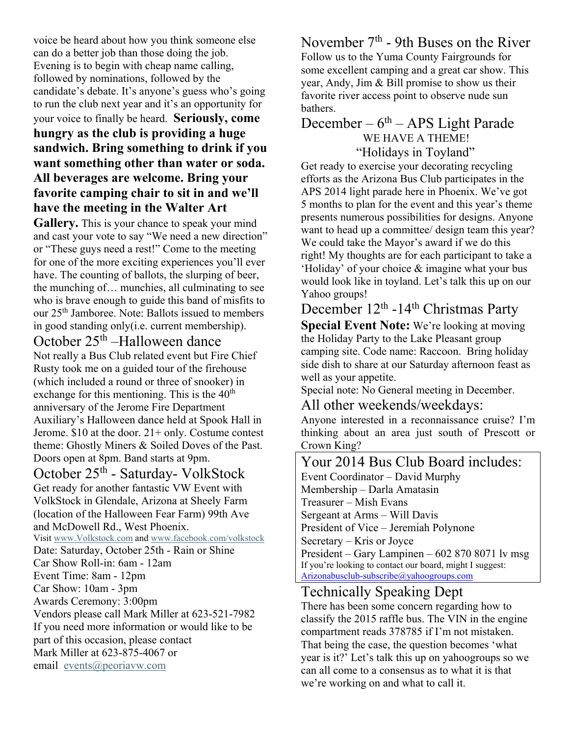voice be heard about how you think someone else can do a better job than those doing the job. Evening is to begin with cheap name calling, followed by nominations, followed by the candidate's debate. It's anyone's guess who's going to run the club next year and it's an opportunity for your voice to finally be heard. **Seriously, come hungry as the club is providing a huge sandwich. Bring something to drink if you want something other than water or soda. All beverages are welcome. Bring your favorite camping chair to sit in and we'll have the meeting in the Walter Art** 

**Gallery.** This is your chance to speak your mind and cast your vote to say "We need a new direction" or "These guys need a rest!" Come to the meeting for one of the more exciting experiences you'll ever have. The counting of ballots, the slurping of beer, the munching of… munchies, all culminating to see who is brave enough to guide this band of misfits to our 25th Jamboree. Note: Ballots issued to members in good standing only(i.e. current membership).

#### October 25th –Halloween dance

Not really a Bus Club related event but Fire Chief Rusty took me on a guided tour of the firehouse (which included a round or three of snooker) in exchange for this mentioning. This is the  $40<sup>th</sup>$ anniversary of the Jerome Fire Department Auxiliary's Halloween dance held at Spook Hall in Jerome. \$10 at the door. 21+ only. Costume contest theme: Ghostly Miners & Soiled Doves of the Past. Doors open at 8pm. Band starts at 9pm.

#### October 25th - Saturday- VolkStock

Get ready for another fantastic VW Event with VolkStock in Glendale, Arizona at Sheely Farm (location of the Halloween Fear Farm) 99th Ave and McDowell Rd., West Phoenix. Visit www.Volkstock.com and www.facebook.com/volkstock Date: Saturday, October 25th - Rain or Shine Car Show Roll-in: 6am - 12am Event Time: 8am - 12pm Car Show: 10am - 3pm Awards Ceremony: 3:00pm Vendors please call Mark Miller at 623-521-7982 If you need more information or would like to be part of this occasion, please contact Mark Miller at 623-875-4067 or email events@peoriavw.com

November  $7<sup>th</sup>$  - 9th Buses on the River Follow us to the Yuma County Fairgrounds for some excellent camping and a great car show. This year, Andy, Jim & Bill promise to show us their favorite river access point to observe nude sun bathers.

# December –  $6<sup>th</sup>$  – APS Light Parade<br>WE HAVE A THEME! "Holidays in Toyland"

Get ready to exercise your decorating recycling efforts as the Arizona Bus Club participates in the APS 2014 light parade here in Phoenix. We've got 5 months to plan for the event and this year's theme presents numerous possibilities for designs. Anyone want to head up a committee/ design team this year? We could take the Mayor's award if we do this right! My thoughts are for each participant to take a 'Holiday' of your choice & imagine what your bus would look like in toyland. Let's talk this up on our Yahoo groups!

# December 12<sup>th</sup> -14<sup>th</sup> Christmas Party

**Special Event Note:** We're looking at moving the Holiday Party to the Lake Pleasant group camping site. Code name: Raccoon. Bring holiday side dish to share at our Saturday afternoon feast as well as your appetite.

Special note: No General meeting in December.

#### All other weekends/weekdays:

Anyone interested in a reconnaissance cruise? I'm thinking about an area just south of Prescott or Crown King?

#### Your 2014 Bus Club Board includes: Event Coordinator – David Murphy Membership – Darla Amatasin Treasurer – Mish Evans Sergeant at Arms – Will Davis President of Vice – Jeremiah Polynone Secretary – Kris or Joyce President – Gary Lampinen – 602 870 8071 lv msg If you're looking to contact our board, might I suggest: Arizonabusclub-subscribe@yahoogroups.com

### Technically Speaking Dept

There has been some concern regarding how to classify the 2015 raffle bus. The VIN in the engine compartment reads 378785 if I'm not mistaken. That being the case, the question becomes 'what year is it?' Let's talk this up on yahoogroups so we can all come to a consensus as to what it is that we're working on and what to call it.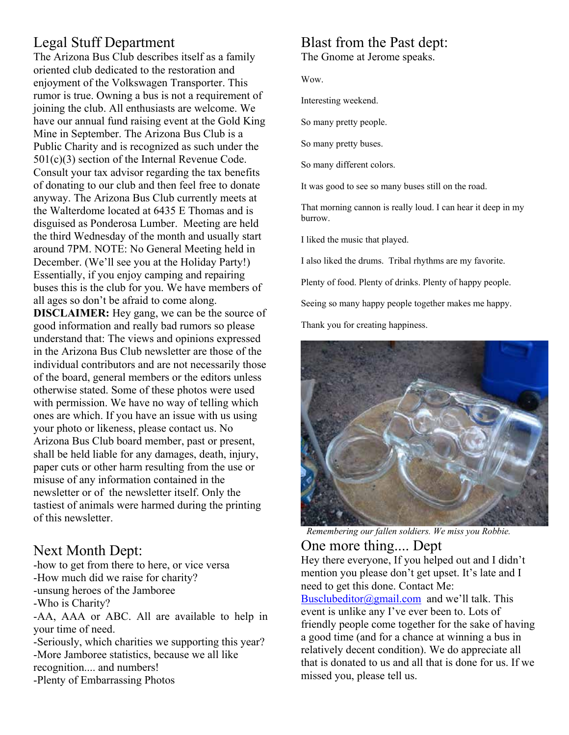# Legal Stuff Department

The Arizona Bus Club describes itself as a family oriented club dedicated to the restoration and enjoyment of the Volkswagen Transporter. This rumor is true. Owning a bus is not a requirement of joining the club. All enthusiasts are welcome. We have our annual fund raising event at the Gold King Mine in September. The Arizona Bus Club is a Public Charity and is recognized as such under the 501(c)(3) section of the Internal Revenue Code. Consult your tax advisor regarding the tax benefits of donating to our club and then feel free to donate anyway. The Arizona Bus Club currently meets at the Walterdome located at 6435 E Thomas and is disguised as Ponderosa Lumber. Meeting are held the third Wednesday of the month and usually start around 7PM. NOTE: No General Meeting held in December. (We'll see you at the Holiday Party!) Essentially, if you enjoy camping and repairing buses this is the club for you. We have members of all ages so don't be afraid to come along.

**DISCLAIMER:** Hey gang, we can be the source of good information and really bad rumors so please understand that: The views and opinions expressed in the Arizona Bus Club newsletter are those of the individual contributors and are not necessarily those of the board, general members or the editors unless otherwise stated. Some of these photos were used with permission. We have no way of telling which ones are which. If you have an issue with us using your photo or likeness, please contact us. No Arizona Bus Club board member, past or present, shall be held liable for any damages, death, injury, paper cuts or other harm resulting from the use or misuse of any information contained in the newsletter or of the newsletter itself. Only the tastiest of animals were harmed during the printing of this newsletter.

#### Next Month Dept:

-how to get from there to here, or vice versa -How much did we raise for charity? -unsung heroes of the Jamboree -Who is Charity?

-AA, AAA or ABC. All are available to help in your time of need.

-Seriously, which charities we supporting this year? -More Jamboree statistics, because we all like recognition.... and numbers! -Plenty of Embarrassing Photos

# Blast from the Past dept:

The Gnome at Jerome speaks.

Wow.

Interesting weekend.

So many pretty people.

So many pretty buses.

So many different colors.

It was good to see so many buses still on the road.

That morning cannon is really loud. I can hear it deep in my burrow.

I liked the music that played.

I also liked the drums. Tribal rhythms are my favorite.

Plenty of food. Plenty of drinks. Plenty of happy people.

Seeing so many happy people together makes me happy.

Thank you for creating happiness.



*Remembering our fallen soldiers. We miss you Robbie.* 

One more thing.... Dept Hey there everyone, If you helped out and I didn't mention you please don't get upset. It's late and I need to get this done. Contact Me: Busclubeditor@gmail.com and we'll talk. This event is unlike any I've ever been to. Lots of friendly people come together for the sake of having a good time (and for a chance at winning a bus in relatively decent condition). We do appreciate all that is donated to us and all that is done for us. If we missed you, please tell us.